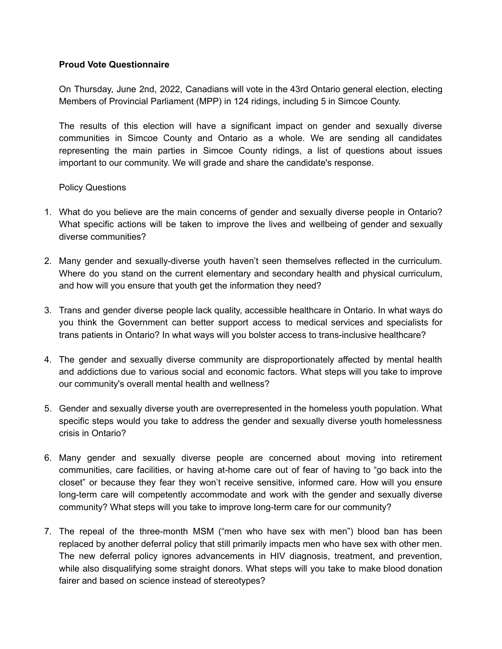## **Proud Vote Questionnaire**

On Thursday, June 2nd, 2022, Canadians will vote in the 43rd Ontario general election, electing Members of Provincial Parliament (MPP) in 124 ridings, including 5 in Simcoe County.

The results of this election will have a significant impact on gender and sexually diverse communities in Simcoe County and Ontario as a whole. We are sending all candidates representing the main parties in Simcoe County ridings, a list of questions about issues important to our community. We will grade and share the candidate's response.

Policy Questions

- 1. What do you believe are the main concerns of gender and sexually diverse people in Ontario? What specific actions will be taken to improve the lives and wellbeing of gender and sexually diverse communities?
- 2. Many gender and sexually-diverse youth haven't seen themselves reflected in the curriculum. Where do you stand on the current elementary and secondary health and physical curriculum, and how will you ensure that youth get the information they need?
- 3. Trans and gender diverse people lack quality, accessible healthcare in Ontario. In what ways do you think the Government can better support access to medical services and specialists for trans patients in Ontario? In what ways will you bolster access to trans-inclusive healthcare?
- 4. The gender and sexually diverse community are disproportionately affected by mental health and addictions due to various social and economic factors. What steps will you take to improve our community's overall mental health and wellness?
- 5. Gender and sexually diverse youth are overrepresented in the homeless youth population. What specific steps would you take to address the gender and sexually diverse youth homelessness crisis in Ontario?
- 6. Many gender and sexually diverse people are concerned about moving into retirement communities, care facilities, or having at-home care out of fear of having to "go back into the closet" or because they fear they won't receive sensitive, informed care. How will you ensure long-term care will competently accommodate and work with the gender and sexually diverse community? What steps will you take to improve long-term care for our community?
- 7. The repeal of the three-month MSM ("men who have sex with men") blood ban has been replaced by another deferral policy that still primarily impacts men who have sex with other men. The new deferral policy ignores advancements in HIV diagnosis, treatment, and prevention, while also disqualifying some straight donors. What steps will you take to make blood donation fairer and based on science instead of stereotypes?